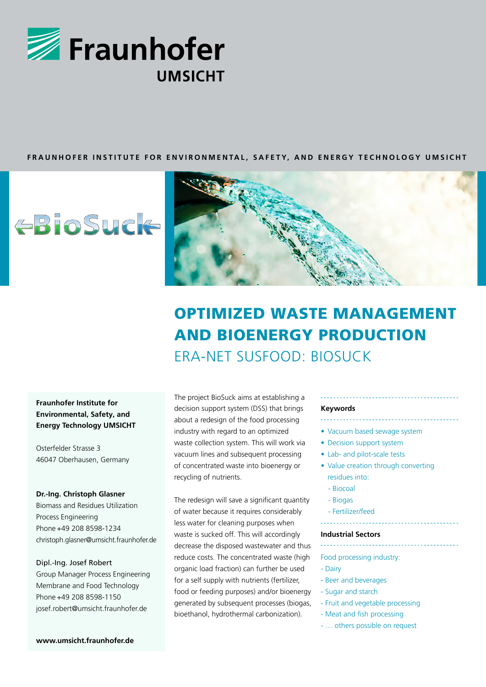

## **FRAUNHOFER INSTITUTE FOR ENVIRONMENTAL, SAFETY, AND ENERGY TECHNOLOGY UMSICHT**

# **EBioSuck**



## OPTIMIZED WASTE MANAGEMENT AND BIOENERGY PRODUCTION ERA-NET SUSFOOD: BIOSUCK

## **Fraunhofer Institute for Environmental, Safety, and Energy Technology UMSICHT**

Osterfelder Strasse 3 46047 Oberhausen, Germany

## **Dr.-Ing. Christoph Glasner**

Biomass and Residues Utilization Process Engineering Phone +49 208 8598-1234 christoph.glasner@umsicht.fraunhofer.de

## Dipl.-Ing. Josef Robert

Group Manager Process Engineering Membrane and Food Technology Phone +49 208 8598-1150 josef.robert@umsicht.fraunhofer.de

The project BioSuck aims at establishing a decision support system (DSS) that brings about a redesign of the food processing industry with regard to an optimized waste collection system. This will work via vacuum lines and subsequent processing of concentrated waste into bioenergy or recycling of nutrients.

The redesign will save a significant quantity of water because it requires considerably less water for cleaning purposes when waste is sucked off. This will accordingly decrease the disposed wastewater and thus reduce costs. The concentrated waste (high organic load fraction) can further be used for a self supply with nutrients (fertilizer, food or feeding purposes) and/or bioenergy generated by subsequent processes (biogas, bioethanol, hydrothermal carbonization).

#### **Keywords**

- Vacuum based sewage system
- Decision support system
- Lab- and pilot-scale tests
- 
- Value creation through converting residues into:
	- Biocoal
	- Biogas
	- Fertilizer/feed
	-

## **Industrial Sectors**

- Food processing industry:
- Dairy
- Beer and beverages
- Sugar and starch
- Fruit and vegetable processing
- Meat and fish processing
- … others possible on request